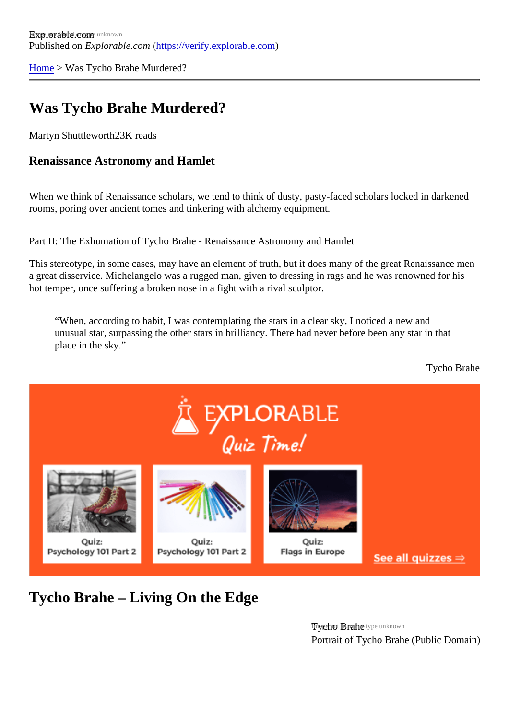[Home](https://verify.explorable.com/) > Was Tycho Brahe Murdered?

## Was Tycho Brahe Murdered?

Martyn Shuttlewort<sup>h23</sup>K reads

Renaissance Astronomy and Hamlet

When we think of Renaissance scholars, we tend to think of dusty, pasty-faced scholars locked in darkene rooms, poring over ancient tomes and tinkering with alchemy equipment.

Part II: The Exhumation of Tycho Brahe - Renaissance Astronomy and Hamlet

This stereotype, in some cases, may have an element of truth, but it does many of the great Renaissance a great disservice. Michelangelo was a rugged man, given to dressing in rags and he was renowned for hi hot temper, once suffering a broken nose in a fight with a rival sculptor.

"When, according to habit, I was contemplating the stars in a clear sky, I noticed a new and unusual star, surpassing the other stars in brilliancy. There had never before been any star in that place in the sky."

Tycho Brahe

Tycho Brahe – Living On the Edge

Trychot Brane type unknown Portrait of Tycho Brahe (Public Domain)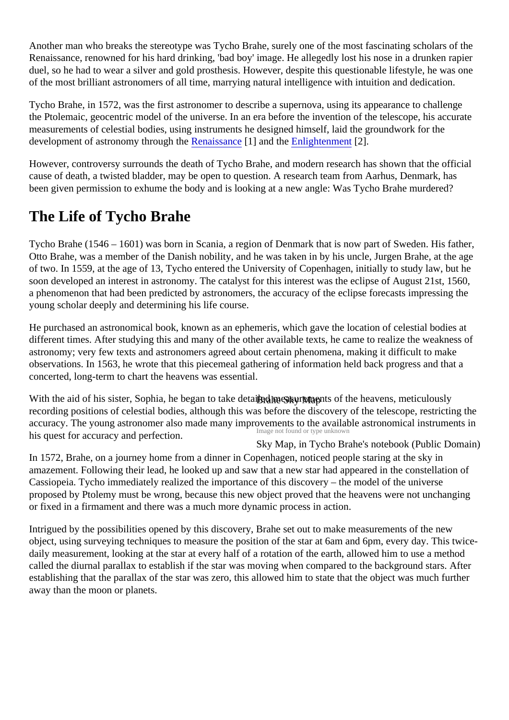Another man who breaks the stereotype was Tycho Brahe, surely one of the most fascinating scholars of the Renaissance, renowned for his hard drinking, 'bad boy' image. He allegedly lost his nose in a drunken rapier duel, so he had to wear a silver and gold prosthesis. However, despite this questionable lifestyle, he was on of the most brilliant astronomers of all time, marrying natural intelligence with intuition and dedication.

Tycho Brahe, in 1572, was the first astronomer to describe a supernova, using its appearance to challenge the Ptolemaic, geocentric model of the universe. In an era before the invention of the telescope, his accurate measurements of celestial bodies, using instruments he designed himself, laid the groundwork for the development of astronomy through **Re**naissance and th[e Enlightenmen](https://verify.explorable.com/science-and-enlightenment)t<sup>[2]</sup>.

However, controversy surrounds the death of Tycho Brahe, and modern research has shown that the offic cause of death, a twisted bladder, may be open to question. A research team from Aarhus, Denmark, has been given permission to exhume the body and is looking at a new angle: Was Tycho Brahe murdered?

## The Life of Tycho Brahe

Tycho Brahe (1546 – 1601) was born in Scania, a region of Denmark that is now part of Sweden. His father Otto Brahe, was a member of the Danish nobility, and he was taken in by his uncle, Jurgen Brahe, at the age of two. In 1559, at the age of 13, Tycho entered the University of Copenhagen, initially to study law, but he soon developed an interest in astronomy. The catalyst for this interest was the eclipse of August 21st, 156 a phenomenon that had been predicted by astronomers, the accuracy of the eclipse forecasts impressing young scholar deeply and determining his life course.

He purchased an astronomical book, known as an ephemeris, which gave the location of celestial bodies at different times. After studying this and many of the other available texts, he came to realize the weakness astronomy; very few texts and astronomers agreed about certain phenomena, making it difficult to make observations. In 1563, he wrote that this piecemeal gathering of information held back progress and that a concerted, long-term to chart the heavens was essential.

With the aid of his sister, Sophia, he began to take**Biatail®kyneas**purements of the heavens, meticulously In ot found or type unknown recording positions of celestial bodies, although this was before the discovery of the telescope, restricting accuracy. The young astronomer also made many improvements to the available astronomical instrument his quest for accuracy and perfection.

Sky Map, in Tycho Brahe's notebook (Public Domain) In 1572, Brahe, on a journey home from a dinner in Copenhagen, noticed people staring at the sky in amazement. Following their lead, he looked up and saw that a new star had appeared in the constellation Cassiopeia. Tycho immediately realized the importance of this discovery – the model of the universe proposed by Ptolemy must be wrong, because this new object proved that the heavens were not unchang or fixed in a firmament and there was a much more dynamic process in action.

Intrigued by the possibilities opened by this discovery, Brahe set out to make measurements of the new object, using surveying techniques to measure the position of the star at 6am and 6pm, every day. This twicedaily measurement, looking at the star at every half of a rotation of the earth, allowed him to use a method called the diurnal parallax to establish if the star was moving when compared to the background stars. After establishing that the parallax of the star was zero, this allowed him to state that the object was much furthe away than the moon or planets.